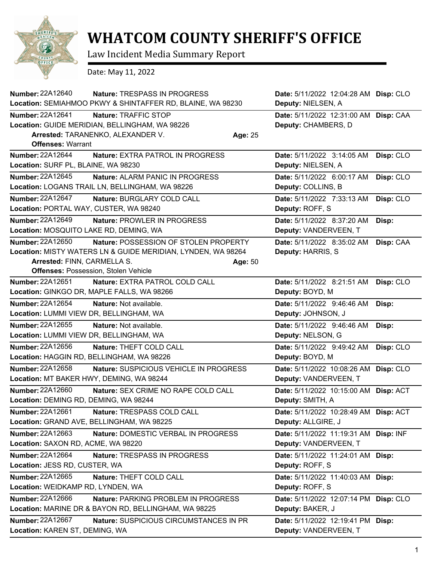

## **WHATCOM COUNTY SHERIFF'S OFFICE**

Law Incident Media Summary Report

Date: May 11, 2022

| Number: 22A12640                         | <b>Nature: TRESPASS IN PROGRESS</b>                          |         | Date: 5/11/2022 12:04:28 AM Disp: CLO |           |
|------------------------------------------|--------------------------------------------------------------|---------|---------------------------------------|-----------|
|                                          | Location: SEMIAHMOO PKWY & SHINTAFFER RD, BLAINE, WA 98230   |         | Deputy: NIELSEN, A                    |           |
| Number: 22A12641                         | Nature: TRAFFIC STOP                                         |         | Date: 5/11/2022 12:31:00 AM Disp: CAA |           |
|                                          | Location: GUIDE MERIDIAN, BELLINGHAM, WA 98226               |         | Deputy: CHAMBERS, D                   |           |
|                                          | Arrested: TARANENKO, ALEXANDER V.                            | Age: 25 |                                       |           |
| <b>Offenses: Warrant</b>                 |                                                              |         |                                       |           |
| Number: 22A12644                         | <b>Nature: EXTRA PATROL IN PROGRESS</b>                      |         | Date: 5/11/2022 3:14:05 AM            | Disp: CLO |
| Location: SURF PL, BLAINE, WA 98230      |                                                              |         | Deputy: NIELSEN, A                    |           |
| Number: 22A12645                         | Nature: ALARM PANIC IN PROGRESS                              |         | Date: 5/11/2022 6:00:17 AM            | Disp: CLO |
|                                          | Location: LOGANS TRAIL LN, BELLINGHAM, WA 98226              |         | Deputy: COLLINS, B                    |           |
| Number: 22A12647                         | Nature: BURGLARY COLD CALL                                   |         | Date: 5/11/2022 7:33:13 AM            | Disp: CLO |
| Location: PORTAL WAY, CUSTER, WA 98240   |                                                              |         | Deputy: ROFF, S                       |           |
| Number: 22A12649                         | Nature: PROWLER IN PROGRESS                                  |         | Date: 5/11/2022 8:37:20 AM            | Disp:     |
| Location: MOSQUITO LAKE RD, DEMING, WA   |                                                              |         | Deputy: VANDERVEEN, T                 |           |
| Number: 22A12650                         | Nature: POSSESSION OF STOLEN PROPERTY                        |         | Date: 5/11/2022 8:35:02 AM            | Disp: CAA |
|                                          | Location: MISTY WATERS LN & GUIDE MERIDIAN, LYNDEN, WA 98264 |         | Deputy: HARRIS, S                     |           |
| Arrested: FINN, CARMELLA S.              |                                                              | Age: 50 |                                       |           |
|                                          | <b>Offenses: Possession, Stolen Vehicle</b>                  |         |                                       |           |
| Number: 22A12651                         | Nature: EXTRA PATROL COLD CALL                               |         | Date: 5/11/2022 8:21:51 AM            | Disp: CLO |
|                                          | Location: GINKGO DR, MAPLE FALLS, WA 98266                   |         | Deputy: BOYD, M                       |           |
| Number: 22A12654                         | Nature: Not available.                                       |         | Date: 5/11/2022 9:46:46 AM            | Disp:     |
| Location: LUMMI VIEW DR, BELLINGHAM, WA  |                                                              |         | Deputy: JOHNSON, J                    |           |
| Number: 22A12655                         | Nature: Not available.                                       |         | Date: 5/11/2022 9:46:46 AM            | Disp:     |
| Location: LUMMI VIEW DR, BELLINGHAM, WA  |                                                              |         | Deputy: NELSON, G                     |           |
| Number: 22A12656                         | Nature: THEFT COLD CALL                                      |         | Date: 5/11/2022 9:49:42 AM            | Disp: CLO |
|                                          | Location: HAGGIN RD, BELLINGHAM, WA 98226                    |         | Deputy: BOYD, M                       |           |
| Number: 22A12658                         | Nature: SUSPICIOUS VEHICLE IN PROGRESS                       |         | Date: 5/11/2022 10:08:26 AM           | Disp: CLO |
| Location: MT BAKER HWY, DEMING, WA 98244 |                                                              |         | Deputy: VANDERVEEN, T                 |           |
| Number: 22A12660                         | Nature: SEX CRIME NO RAPE COLD CALL                          |         | Date: 5/11/2022 10:15:00 AM           | Disp: ACT |
| Location: DEMING RD, DEMING, WA 98244    |                                                              |         | Deputy: SMITH, A                      |           |
| Number: 22A12661                         | Nature: TRESPASS COLD CALL                                   |         | Date: 5/11/2022 10:28:49 AM Disp: ACT |           |
|                                          | Location: GRAND AVE, BELLINGHAM, WA 98225                    |         | Deputy: ALLGIRE, J                    |           |
| Number: 22A12663                         | Nature: DOMESTIC VERBAL IN PROGRESS                          |         | Date: 5/11/2022 11:19:31 AM Disp: INF |           |
| Location: SAXON RD, ACME, WA 98220       |                                                              |         | Deputy: VANDERVEEN, T                 |           |
| Number: 22A12664                         | Nature: TRESPASS IN PROGRESS                                 |         | Date: 5/11/2022 11:24:01 AM Disp:     |           |
| Location: JESS RD, CUSTER, WA            |                                                              |         | Deputy: ROFF, S                       |           |
| Number: 22A12665                         | Nature: THEFT COLD CALL                                      |         | Date: 5/11/2022 11:40:03 AM Disp:     |           |
| Location: WEIDKAMP RD, LYNDEN, WA        |                                                              |         | Deputy: ROFF, S                       |           |
| Number: 22A12666                         | Nature: PARKING PROBLEM IN PROGRESS                          |         | Date: 5/11/2022 12:07:14 PM Disp: CLO |           |
|                                          | Location: MARINE DR & BAYON RD, BELLINGHAM, WA 98225         |         | Deputy: BAKER, J                      |           |
| Number: 22A12667                         | Nature: SUSPICIOUS CIRCUMSTANCES IN PR                       |         | Date: 5/11/2022 12:19:41 PM Disp:     |           |
| Location: KAREN ST, DEMING, WA           |                                                              |         | Deputy: VANDERVEEN, T                 |           |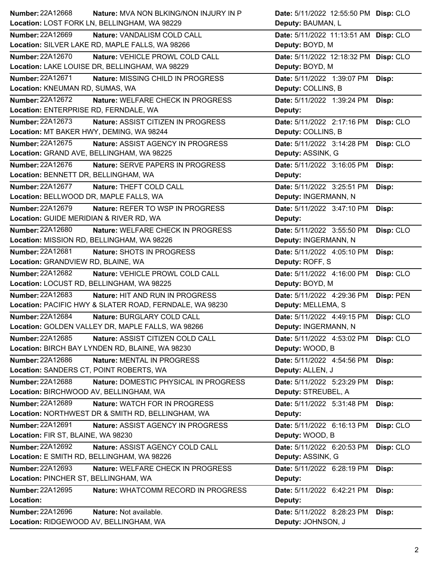| <b>Number: 22A12668</b><br><b>Nature: MVA NON BLKING/NON INJURY IN P</b> | Date: 5/11/2022 12:55:50 PM Disp: CLO |           |
|--------------------------------------------------------------------------|---------------------------------------|-----------|
| Location: LOST FORK LN, BELLINGHAM, WA 98229                             | Deputy: BAUMAN, L                     |           |
| <b>Number: 22A12669</b><br>Nature: VANDALISM COLD CALL                   | Date: 5/11/2022 11:13:51 AM Disp: CLO |           |
| Location: SILVER LAKE RD, MAPLE FALLS, WA 98266                          | Deputy: BOYD, M                       |           |
| <b>Number: 22A12670</b><br>Nature: VEHICLE PROWL COLD CALL               | Date: 5/11/2022 12:18:32 PM Disp: CLO |           |
| Location: LAKE LOUISE DR, BELLINGHAM, WA 98229                           | Deputy: BOYD, M                       |           |
| <b>Number: 22A12671</b><br>Nature: MISSING CHILD IN PROGRESS             | Date: 5/11/2022 1:39:07 PM            | Disp:     |
| Location: KNEUMAN RD, SUMAS, WA                                          | Deputy: COLLINS, B                    |           |
| <b>Number: 22A12672</b><br>Nature: WELFARE CHECK IN PROGRESS             | Date: 5/11/2022 1:39:24 PM            | Disp:     |
| Location: ENTERPRISE RD, FERNDALE, WA                                    | Deputy:                               |           |
| Number: 22A12673<br>Nature: ASSIST CITIZEN IN PROGRESS                   | Date: 5/11/2022 2:17:16 PM            | Disp: CLO |
| Location: MT BAKER HWY, DEMING, WA 98244                                 | Deputy: COLLINS, B                    |           |
| Number: 22A12675<br>Nature: ASSIST AGENCY IN PROGRESS                    | Date: 5/11/2022 3:14:28 PM            | Disp: CLO |
| Location: GRAND AVE, BELLINGHAM, WA 98225                                | Deputy: ASSINK, G                     |           |
| Number: 22A12676<br>Nature: SERVE PAPERS IN PROGRESS                     | Date: 5/11/2022 3:16:05 PM            | Disp:     |
| Location: BENNETT DR, BELLINGHAM, WA                                     | Deputy:                               |           |
| Number: 22A12677<br>Nature: THEFT COLD CALL                              | Date: 5/11/2022 3:25:51 PM            | Disp:     |
| Location: BELLWOOD DR, MAPLE FALLS, WA                                   | Deputy: INGERMANN, N                  |           |
| Number: 22A12679<br>Nature: REFER TO WSP IN PROGRESS                     | Date: 5/11/2022 3:47:10 PM            | Disp:     |
| Location: GUIDE MERIDIAN & RIVER RD, WA                                  | Deputy:                               |           |
| <b>Number: 22A12680</b><br>Nature: WELFARE CHECK IN PROGRESS             | Date: 5/11/2022 3:55:50 PM            | Disp: CLO |
| Location: MISSION RD, BELLINGHAM, WA 98226                               | Deputy: INGERMANN, N                  |           |
| Number: 22A12681<br>Nature: SHOTS IN PROGRESS                            | Date: 5/11/2022 4:05:10 PM            | Disp:     |
| Location: GRANDVIEW RD, BLAINE, WA                                       | Deputy: ROFF, S                       |           |
| Number: 22A12682<br>Nature: VEHICLE PROWL COLD CALL                      | Date: 5/11/2022 4:16:00 PM            | Disp: CLO |
|                                                                          |                                       |           |
| Location: LOCUST RD, BELLINGHAM, WA 98225                                | Deputy: BOYD, M                       |           |
| Number: 22A12683<br>Nature: HIT AND RUN IN PROGRESS                      | Date: 5/11/2022 4:29:36 PM            | Disp: PEN |
| Location: PACIFIC HWY & SLATER ROAD, FERNDALE, WA 98230                  | Deputy: MELLEMA, S                    |           |
| <b>Number: 22A12684</b><br>Nature: BURGLARY COLD CALL                    | Date: 5/11/2022 4:49:15 PM            | Disp: CLO |
| Location: GOLDEN VALLEY DR, MAPLE FALLS, WA 98266                        | Deputy: INGERMANN, N                  |           |
| <b>Number: 22A12685</b><br>Nature: ASSIST CITIZEN COLD CALL              | Date: 5/11/2022 4:53:02 PM            | Disp: CLO |
| Location: BIRCH BAY LYNDEN RD, BLAINE, WA 98230                          | Deputy: WOOD, B                       |           |
| Number: 22A12686<br>Nature: MENTAL IN PROGRESS                           | Date: 5/11/2022 4:54:56 PM            | Disp:     |
| Location: SANDERS CT, POINT ROBERTS, WA                                  | Deputy: ALLEN, J                      |           |
| Number: 22A12688<br>Nature: DOMESTIC PHYSICAL IN PROGRESS                | Date: 5/11/2022 5:23:29 PM            | Disp:     |
| Location: BIRCHWOOD AV, BELLINGHAM, WA                                   | Deputy: STREUBEL, A                   |           |
| Number: 22A12689<br>Nature: WATCH FOR IN PROGRESS                        | Date: 5/11/2022 5:31:48 PM            | Disp:     |
| Location: NORTHWEST DR & SMITH RD, BELLINGHAM, WA                        | Deputy:                               |           |
| Number: 22A12691<br>Nature: ASSIST AGENCY IN PROGRESS                    | Date: 5/11/2022 6:16:13 PM            | Disp: CLO |
| Location: FIR ST, BLAINE, WA 98230                                       | Deputy: WOOD, B                       |           |
| Number: 22A12692<br>Nature: ASSIST AGENCY COLD CALL                      | Date: 5/11/2022 6:20:53 PM            | Disp: CLO |
| Location: E SMITH RD, BELLINGHAM, WA 98226                               | Deputy: ASSINK, G                     |           |
| Number: 22A12693<br>Nature: WELFARE CHECK IN PROGRESS                    | Date: 5/11/2022 6:28:19 PM            | Disp:     |
| Location: PINCHER ST, BELLINGHAM, WA                                     | Deputy:                               |           |
| Number: 22A12695<br>Nature: WHATCOMM RECORD IN PROGRESS                  | Date: 5/11/2022 6:42:21 PM            | Disp:     |
| Location:                                                                | Deputy:                               |           |
| Number: 22A12696<br>Nature: Not available.                               | Date: 5/11/2022 8:28:23 PM            | Disp:     |